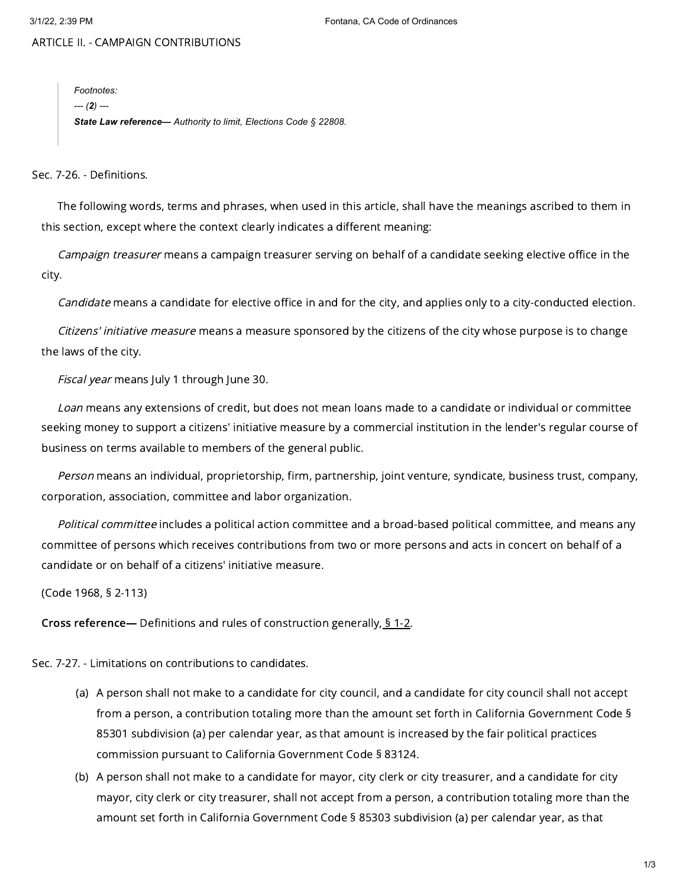ARTICLE II. - CAMPAIGN CONTRIBUTIONS

*Footnotes: --- (2) --- State Law reference— Authority to limit, Elections Code § 22808.*

Sec. 7-26. - Definitions.

The following words, terms and phrases, when used in this article, shall have the meanings ascribed to them in this section, except where the context clearly indicates a different meaning:

Campaign treasurer means a campaign treasurer serving on behalf of a candidate seeking elective office in the city.

Candidate means a candidate for elective office in and for the city, and applies only to a city-conducted election.

Citizens' initiative measure means a measure sponsored by the citizens of the city whose purpose is to change the laws of the city.

Fiscal year means July 1 through June 30.

Loan means any extensions of credit, but does not mean loans made to a candidate or individual or committee seeking money to support a citizens' initiative measure by a commercial institution in the lender's regular course of business on terms available to members of the general public.

Person means an individual, proprietorship, firm, partnership, joint venture, syndicate, business trust, company, corporation, association, committee and labor organization.

Political committee includes a political action committee and a broad-based political committee, and means any committee of persons which receives contributions from two or more persons and acts in concert on behalf of a candidate or on behalf of a citizens' initiative measure.

(Code 1968, § 2-113)

Cross reference— Definitions and rules of construction generally, § [1-2](https://library.municode.com/).

Sec. 7-27. - Limitations on contributions to candidates.

- (a) A person shall not make to a candidate for city council, and a candidate for city council shall not accept from a person, a contribution totaling more than the amount set forth in California Government Code § 85301 subdivision (a) per calendar year, as that amount is increased by the fair political practices commission pursuant to California Government Code § 83124.
- (b) A person shall not make to a candidate for mayor, city clerk or city treasurer, and a candidate for city mayor, city clerk or city treasurer, shall not accept from a person, a contribution totaling more than the amount set forth in California Government Code § 85303 subdivision (a) per calendar year, as that